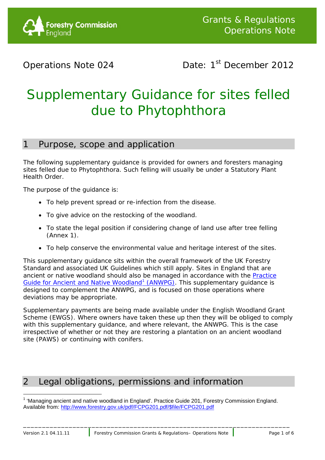

# Operations Note 024 Date: 1<sup>st</sup> December 2012

# Supplementary Guidance for sites felled due to Phytophthora

## 1 Purpose, scope and application

The following supplementary guidance is provided for owners and foresters managing sites felled due to Phytophthora. Such felling will usually be under a Statutory Plant Health Order.

The purpose of the guidance is:

- To help prevent spread or re-infection from the disease.
- To give advice on the restocking of the woodland.
- To state the legal position if considering change of land use after tree felling (Annex 1).
- To help conserve the environmental value and heritage interest of the sites.

This supplementary guidance sits within the overall framework of the UK Forestry Standard and associated UK Guidelines which still apply. Sites in England that are ancient or native woodland should also be managed in accordance with the [Practice](http://www.forestry.gov.uk/pdf/FCPG201.pdf/$file/FCPG201.pdf)  [Guide for Ancient and Native Woodland](http://www.forestry.gov.uk/pdf/FCPG201.pdf/$file/FCPG201.pdf)<sup>[1](#page-0-0)</sup> (ANWPG). This supplementary guidance is designed to complement the ANWPG, and is focused on those operations where deviations may be appropriate.

Supplementary payments are being made available under the English Woodland Grant Scheme (EWGS). Where owners have taken these up then they will be obliged to comply with this supplementary guidance, and where relevant, the ANWPG. This is the case irrespective of whether or not they are restoring a plantation on an ancient woodland site (PAWS) or continuing with conifers.

# 2 Legal obligations, permissions and information

l

<span id="page-0-0"></span><sup>&</sup>lt;sup>1</sup> 'Managing ancient and native woodland in England'. Practice Guide 201, Forestry Commission England. Available from: [http://www.forestry.gov.uk/pdf/FCPG201.pdf/\\$file/FCPG201.pdf](http://www.forestry.gov.uk/pdf/FCPG201.pdf/$file/FCPG201.pdf)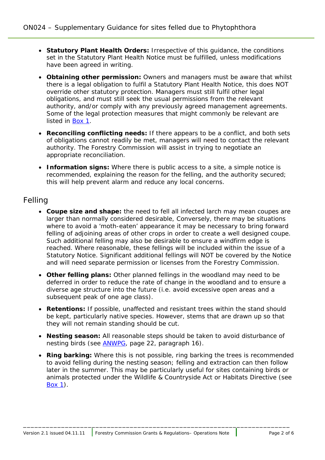- **Statutory Plant Health Orders:** Irrespective of this guidance, the conditions set in the Statutory Plant Health Notice must be fulfilled, unless modifications have been agreed in writing.
- **Obtaining other permission:** Owners and managers must be aware that whilst there is a legal obligation to fulfil a Statutory Plant Health Notice, this does NOT override other statutory protection. Managers must still fulfil other legal obligations, and must still seek the usual permissions from the relevant authority, and/or comply with any previously agreed management agreements. Some of the legal protection measures that might commonly be relevant are listed in [Box 1.](#page-4-0)
- **Reconciling conflicting needs:** If there appears to be a conflict, and both sets of obligations cannot readily be met, managers will need to contact the relevant authority. The Forestry Commission will assist in trying to negotiate an appropriate reconciliation.
- **Information signs:** Where there is public access to a site, a simple notice is recommended, explaining the reason for the felling, and the authority secured; this will help prevent alarm and reduce any local concerns.

## Felling

- **Coupe size and shape:** the need to fell all infected larch may mean coupes are larger than normally considered desirable, Conversely, there may be situations where to avoid a 'moth-eaten' appearance it may be necessary to bring forward felling of adjoining areas of other crops in order to create a well designed coupe. Such additional felling may also be desirable to ensure a windfirm edge is reached. Where reasonable, these fellings will be included within the issue of a Statutory Notice. Significant additional fellings will NOT be covered by the Notice and will need separate permission or licenses from the Forestry Commission.
- **Other felling plans:** Other planned fellings in the woodland may need to be deferred in order to reduce the rate of change in the woodland and to ensure a diverse age structure into the future (i.e. avoid excessive open areas and a subsequent peak of one age class).
- **Retentions:** If possible, unaffected and resistant trees within the stand should be kept, particularly native species. However, stems that are drawn up so that they will not remain standing should be cut.
- **Nesting season:** All reasonable steps should be taken to avoid disturbance of nesting birds (see **ANWPG**, page 22, paragraph 16).
- **Ring barking:** Where this is not possible, ring barking the trees is recommended to avoid felling during the nesting season; felling and extraction can then follow later in the summer. This may be particularly useful for sites containing birds or animals protected under the Wildlife & Countryside Act or Habitats Directive (see [Box 1\)](#page-4-0).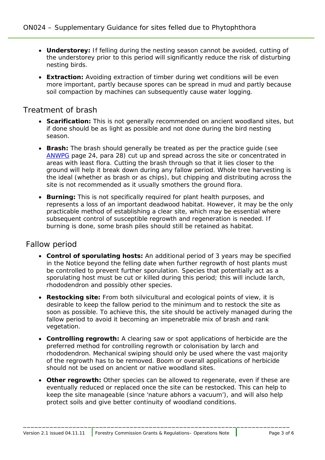- **Understorey:** If felling during the nesting season cannot be avoided, cutting of the understorey prior to this period will significantly reduce the risk of disturbing nesting birds.
- **Extraction:** Avoiding extraction of timber during wet conditions will be even more important, partly because spores can be spread in mud and partly because soil compaction by machines can subsequently cause water logging.

#### Treatment of brash

- **Scarification:** This is not generally recommended on ancient woodland sites, but if done should be as light as possible and not done during the bird nesting season.
- **Brash:** The brash should generally be treated as per the practice guide (see [ANWPG](http://www.forestry.gov.uk/pdf/FCPG201.pdf/$file/FCPG201.pdf) page 24, para 28) cut up and spread across the site or concentrated in areas with least flora. Cutting the brash through so that it lies closer to the ground will help it break down during any fallow period. Whole tree harvesting is the ideal (whether as brash or as chips), but chipping and distributing across the site is not recommended as it usually smothers the ground flora.
- **Burning:** This is not specifically required for plant health purposes, and represents a loss of an important deadwood habitat. However, it may be the only practicable method of establishing a clear site, which may be essential where subsequent control of susceptible regrowth and regeneration is needed. If burning is done, some brash piles should still be retained as habitat.

#### Fallow period

- **Control of sporulating hosts:** An additional period of 3 years may be specified in the Notice beyond the felling date when further regrowth of host plants must be controlled to prevent further sporulation. Species that potentially act as a sporulating host must be cut or killed during this period; this will include larch, rhododendron and possibly other species.
- **Restocking site:** From both silvicultural and ecological points of view, it is desirable to keep the fallow period to the minimum and to restock the site as soon as possible. To achieve this, the site should be actively managed during the fallow period to avoid it becoming an impenetrable mix of brash and rank vegetation.
- **Controlling regrowth:** A clearing saw or spot applications of herbicide are the preferred method for controlling regrowth or colonisation by larch and rhododendron. Mechanical swiping should only be used where the vast majority of the regrowth has to be removed. Boom or overall applications of herbicide should not be used on ancient or native woodland sites.
- **Other regrowth:** Other species can be allowed to regenerate, even if these are eventually reduced or replaced once the site can be restocked. This can help to keep the site manageable (since 'nature abhors a vacuum'), and will also help protect soils and give better continuity of woodland conditions.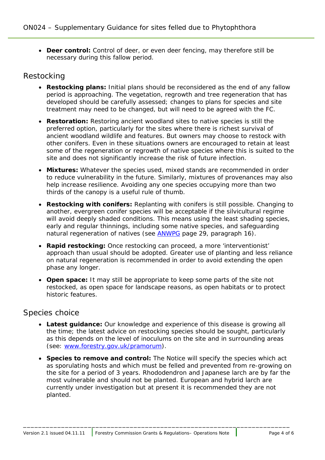• **Deer control:** Control of deer, or even deer fencing, may therefore still be necessary during this fallow period.

#### Restocking

- **Restocking plans:** Initial plans should be reconsidered as the end of any fallow period is approaching. The vegetation, regrowth and tree regeneration that has developed should be carefully assessed; changes to plans for species and site treatment may need to be changed, but will need to be agreed with the FC.
- **Restoration:** Restoring ancient woodland sites to native species is still the preferred option, particularly for the sites where there is richest survival of ancient woodland wildlife and features. But owners may choose to restock with other conifers. Even in these situations owners are encouraged to retain at least some of the regeneration or regrowth of native species where this is suited to the site and does not significantly increase the risk of future infection.
- **Mixtures:** Whatever the species used, mixed stands are recommended in order to reduce vulnerability in the future. Similarly, mixtures of provenances may also help increase resilience. Avoiding any one species occupying more than two thirds of the canopy is a useful rule of thumb.
- **Restocking with conifers:** Replanting with conifers is still possible. Changing to another, evergreen conifer species will be acceptable if the silvicultural regime will avoid deeply shaded conditions. This means using the least shading species, early and regular thinnings, including some native species, and safeguarding natural regeneration of natives (see **ANWPG** page 29, paragraph 16).
- **Rapid restocking:** Once restocking can proceed, a more 'interventionist' approach than usual should be adopted. Greater use of planting and less reliance on natural regeneration is recommended in order to avoid extending the open phase any longer.
- **Open space:** It may still be appropriate to keep some parts of the site not restocked, as open space for landscape reasons, as open habitats or to protect historic features.

#### Species choice

- **Latest guidance:** Our knowledge and experience of this disease is growing all the time; the latest advice on restocking species should be sought, particularly as this depends on the level of inoculums on the site and in surrounding areas (see: [www.forestry.gov.uk/pramorum\)](http://www.forestry.gov.uk/pramorum).
- **Species to remove and control:** The Notice will specify the species which act as sporulating hosts and which must be felled and prevented from re-growing on the site for a period of 3 years. Rhododendron and Japanese larch are by far the most vulnerable and should not be planted. European and hybrid larch are currently under investigation but at present it is recommended they are not planted.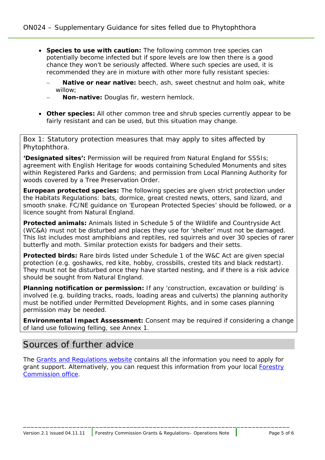- **Species to use with caution:** The following common tree species can potentially become infected but if spore levels are low then there is a good chance they won't be seriously affected. Where such species are used, it is recommended they are in mixture with other more fully resistant species:
	- **Native or near native:** beech, ash, sweet chestnut and holm oak, white willow;
	- − *Non-native:* Douglas fir, western hemlock.
- **Other species:** All other common tree and shrub species currently appear to be fairly resistant and can be used, but this situation may change.

<span id="page-4-0"></span>*Box 1: Statutory protection measures that may apply to sites affected by Phytophthora.*

**'Designated sites':** Permission will be required from Natural England for SSSIs; agreement with English Heritage for woods containing Scheduled Monuments and sites within Registered Parks and Gardens; and permission from Local Planning Authority for woods covered by a Tree Preservation Order.

**European protected species:** The following species are given strict protection under the Habitats Regulations: bats, dormice, great crested newts, otters, sand lizard, and smooth snake. FC/NE guidance on 'European Protected Species' should be followed, or a licence sought from Natural England.

**Protected animals:** Animals listed in Schedule 5 of the Wildlife and Countryside Act (WC&A) must not be disturbed and places they use for 'shelter' must not be damaged. This list includes most amphibians and reptiles, red squirrels and over 30 species of rarer butterfly and moth. Similar protection exists for badgers and their setts.

**Protected birds:** Rare birds listed under Schedule 1 of the W&C Act are given special protection (e.g. goshawks, red kite, hobby, crossbills, crested tits and black redstart). They must not be disturbed once they have started nesting, and if there is a risk advice should be sought from Natural England.

**Planning notification or permission:** If any 'construction, excavation or building' is involved (e.g. building tracks, roads, loading areas and culverts) the planning authority must be notified under Permitted Development Rights, and in some cases planning permission may be needed.

**Environmental Impact Assessment:** Consent may be required if considering a change of land use following felling, see Annex 1.

## Sources of further advice

The [Grants and Regulations website](http://www.forestry.gov.uk/forestry/infd-6dfk2u) contains all the information you need to apply for grant support. Alternatively, you can request this information from your local **Forestry** [Commission office.](http://www.forestry.gov.uk/pdf/eng-regional-directory.pdf/$FILE/eng-regional-directory.pdf)